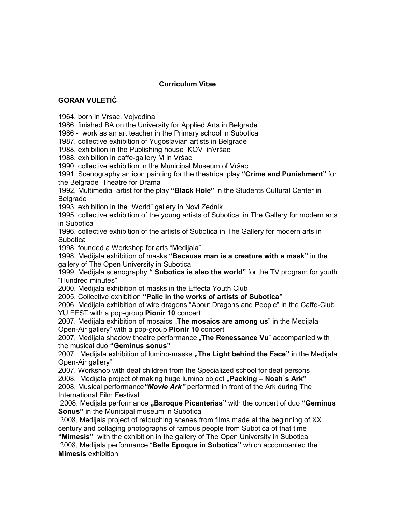## **Curriculum Vitae**

## **GORAN VULETIĆ**

1964. born in Vrsac, Vojvodina

1986. finished BA on the University for Applied Arts in Belgrade

1986 - work as an art teacher in the Primary school in Subotica

1987. collective exhibition of Yugoslavian artists in Belgrade

1988. exhibition in the Publishing house KOV inVršac

1988. exhibition in caffe-gallery M in Vršac

1990. collective exhibition in the Municipal Museum of Vršac

1991. Scenography an icon painting for the theatrical play **"Crime and Punishment"** for the Belgrade Theatre for Drama

1992. Multimedia artist for the play **"Black Hole"** in the Students Cultural Center in Belgrade

1993. exhibition in the "World" gallery in Novi Zednik

1995. collective exhibition of the young artists of Subotica in The Gallery for modern arts in Subotica

1996. collective exhibition of the artists of Subotica in The Gallery for modern arts in **Subotica** 

1998. founded a Workshop for arts "Medijala"

1998. Medijala exhibition of masks **"Because man is a creature with a mask"** in the gallery of The Open University in Subotica

1999. Medijala scenography **" Subotica is also the world"** for the TV program for youth "Hundred minutes"

2000. Medijala exhibition of masks in the Effecta Youth Club

2005. Collective exhibition **"Palic in the works of artists of Subotica"**

2006. Medijala exhibition of wire dragons "About Dragons and People" in the Caffe-Club YU FEST with a pop-group **Pionir 10** concert

2007. Medijala exhibition of mosaics "**The mosaics are among us**" in the Medijala Open-Air gallery" with a pop-group **Pionir 10** concert

2007. Medijala shadow theatre performance "**The Renessance Vu**" accompanied with the musical duo **"Geminus sonus"**

2007. Medijala exhibition of lumino-masks "The Light behind the Face" in the Medijala Open-Air gallery"

2007. Workshop with deaf children from the Specialized school for deaf persons 2008. Medijala project of making huge lumino object **"Packing – Noah`s Ark"**

2008. Musical performance*"Movie Ark"* performed in front of the Ark during The International Film Festival

 2008. Medijala performance **"Baroque Picanterias"** with the concert of duo **"Geminus Sonus"** in the Municipal museum in Subotica

2008. Medijala project of retouching scenes from films made at the beginning of XX century and collaging photographs of famous people from Subotica of that time **"Mimesis"** with the exhibition in the gallery of The Open University in Subotica

2008. Medijala performance "**Belle Epoque in Subotica"** which accompanied the **Mimesis** exhibition